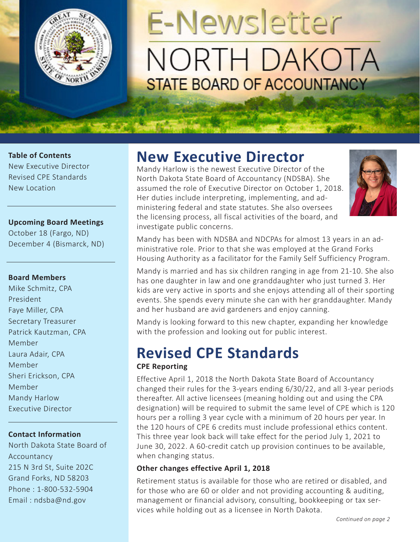

# **E-Newsletter** NORTH DAKOTA **STATE BOARD OF ACCOUNTANCY**

#### **Table of Contents**

New Executive Director Revised CPE Standards New Location

#### **Upcoming Board Meetings**

October 18 (Fargo, ND) December 4 (Bismarck, ND)

#### **Board Members**

Mike Schmitz, CPA President Faye Miller, CPA Secretary Treasurer Patrick Kautzman, CPA Member Laura Adair, CPA Member Sheri Erickson, CPA Member Mandy Harlow Executive Director

#### **Contact Information**

North Dakota State Board of Accountancy 215 N 3rd St, Suite 202C Grand Forks, ND 58203 Phone : 1-800-532-5904 Email : ndsba@nd.gov

## **New Executive Director**

Mandy Harlow is the newest Executive Director of the North Dakota State Board of Accountancy (NDSBA). She assumed the role of Executive Director on October 1, 2018. Her duties include interpreting, implementing, and administering federal and state statutes. She also oversees the licensing process, all fiscal activities of the board, and investigate public concerns.



Mandy has been with NDSBA and NDCPAs for almost 13 years in an administrative role. Prior to that she was employed at the Grand Forks Housing Authority as a facilitator for the Family Self Sufficiency Program.

Mandy is married and has six children ranging in age from 21-10. She also has one daughter in law and one granddaughter who just turned 3. Her kids are very active in sports and she enjoys attending all of their sporting events. She spends every minute she can with her granddaughter. Mandy and her husband are avid gardeners and enjoy canning.

Mandy is looking forward to this new chapter, expanding her knowledge with the profession and looking out for public interest.

# **Revised CPE Standards**

#### **CPE Reporting**

Effective April 1, 2018 the North Dakota State Board of Accountancy changed their rules for the 3-years ending 6/30/22, and all 3-year periods thereafter. All active licensees (meaning holding out and using the CPA designation) will be required to submit the same level of CPE which is 120 hours per a rolling 3 year cycle with a minimum of 20 hours per year. In the 120 hours of CPE 6 credits must include professional ethics content. This three year look back will take effect for the period July 1, 2021 to June 30, 2022. A 60-credit catch up provision continues to be available, when changing status.

#### **Other changes effective April 1, 2018**

Retirement status is available for those who are retired or disabled, and for those who are 60 or older and not providing accounting & auditing, management or financial advisory, consulting, bookkeeping or tax services while holding out as a licensee in North Dakota.